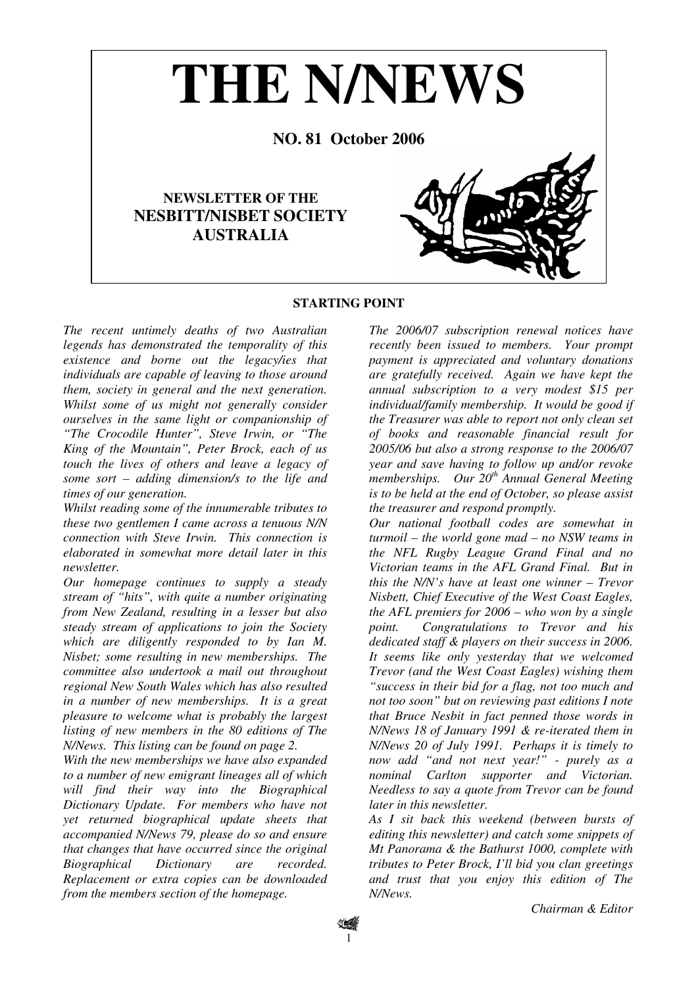

## **STARTING POINT**

*The recent untimely deaths of two Australian legends has demonstrated the temporality of this existence and borne out the legacy/ies that individuals are capable of leaving to those around them, society in general and the next generation. Whilst some of us might not generally consider ourselves in the same light or companionship of "The Crocodile Hunter", Steve Irwin, or "The King of the Mountain", Peter Brock, each of us touch the lives of others and leave a legacy of some sort – adding dimension/s to the life and times of our generation.* 

*Whilst reading some of the innumerable tributes to these two gentlemen I came across a tenuous N/N connection with Steve Irwin. This connection is elaborated in somewhat more detail later in this newsletter.* 

*Our homepage continues to supply a steady stream of "hits", with quite a number originating from New Zealand, resulting in a lesser but also steady stream of applications to join the Society which are diligently responded to by Ian M. Nisbet; some resulting in new memberships. The committee also undertook a mail out throughout regional New South Wales which has also resulted in a number of new memberships. It is a great pleasure to welcome what is probably the largest listing of new members in the 80 editions of The N/News. This listing can be found on page 2.* 

*With the new memberships we have also expanded to a number of new emigrant lineages all of which will find their way into the Biographical Dictionary Update. For members who have not yet returned biographical update sheets that accompanied N/News 79, please do so and ensure that changes that have occurred since the original Biographical Dictionary are recorded. Replacement or extra copies can be downloaded from the members section of the homepage.* 

*The 2006/07 subscription renewal notices have recently been issued to members. Your prompt payment is appreciated and voluntary donations are gratefully received. Again we have kept the annual subscription to a very modest \$15 per individual/family membership. It would be good if the Treasurer was able to report not only clean set of books and reasonable financial result for 2005/06 but also a strong response to the 2006/07 year and save having to follow up and/or revoke memberships. Our 20th Annual General Meeting is to be held at the end of October, so please assist the treasurer and respond promptly.* 

*Our national football codes are somewhat in turmoil – the world gone mad – no NSW teams in the NFL Rugby League Grand Final and no Victorian teams in the AFL Grand Final. But in this the N/N's have at least one winner – Trevor Nisbett, Chief Executive of the West Coast Eagles, the AFL premiers for 2006 – who won by a single point. Congratulations to Trevor and his dedicated staff & players on their success in 2006. It seems like only yesterday that we welcomed Trevor (and the West Coast Eagles) wishing them "success in their bid for a flag, not too much and not too soon" but on reviewing past editions I note that Bruce Nesbit in fact penned those words in N/News 18 of January 1991 & re-iterated them in N/News 20 of July 1991. Perhaps it is timely to now add "and not next year!" - purely as a nominal Carlton supporter and Victorian. Needless to say a quote from Trevor can be found later in this newsletter.* 

*As I sit back this weekend (between bursts of editing this newsletter) and catch some snippets of Mt Panorama & the Bathurst 1000, complete with tributes to Peter Brock, I'll bid you clan greetings and trust that you enjoy this edition of The N/News.*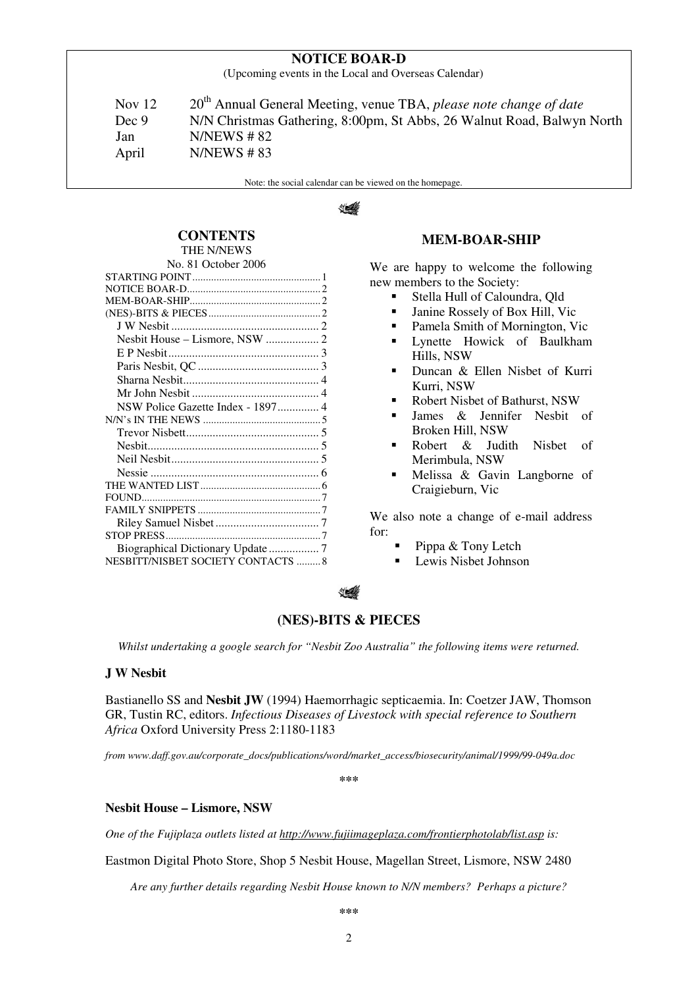# **NOTICE BOAR-D**

(Upcoming events in the Local and Overseas Calendar)

Nov 12 20<sup>th</sup> Annual General Meeting, venue TBA, *please note change of date* Dec 9 N/N Christmas Gathering, 8:00pm, St Abbs, 26 Walnut Road, Balwyn North Jan N/NEWS # 82 April N/NEWS # 83

Note: the social calendar can be viewed on the homepage.

# **150 x de la france de la france de la france de la france de la france de la france de la france d**

## **CONTENTS**  THE N/NEWS

| No. 81 October 2006                |  |
|------------------------------------|--|
|                                    |  |
|                                    |  |
|                                    |  |
|                                    |  |
|                                    |  |
| Nesbit House - Lismore, NSW  2     |  |
|                                    |  |
|                                    |  |
|                                    |  |
|                                    |  |
|                                    |  |
|                                    |  |
|                                    |  |
|                                    |  |
|                                    |  |
|                                    |  |
|                                    |  |
|                                    |  |
|                                    |  |
|                                    |  |
|                                    |  |
| Biographical Dictionary Update  7  |  |
| NESBITT/NISBET SOCIETY CONTACTS  8 |  |
|                                    |  |

## **MEM-BOAR-SHIP**

We are happy to welcome the following new members to the Society:

- Stella Hull of Caloundra, Qld
- Janine Rossely of Box Hill, Vic
- Pamela Smith of Mornington, Vic
- Lynette Howick of Baulkham Hills, NSW
- Duncan & Ellen Nisbet of Kurri Kurri, NSW
- Robert Nisbet of Bathurst, NSW
- James & Jennifer Nesbit of Broken Hill, NSW
- Robert & Judith Nisbet of Merimbula, NSW
- Melissa & Gavin Langborne of Craigieburn, Vic

We also note a change of e-mail address for:

- Pippa & Tony Letch
- **Lewis Nisbet Johnson**

## **(NES)-BITS & PIECES**

*Whilst undertaking a google search for "Nesbit Zoo Australia" the following items were returned.* 

## **J W Nesbit**

Bastianello SS and **Nesbit JW** (1994) Haemorrhagic septicaemia. In: Coetzer JAW, Thomson GR, Tustin RC, editors. *Infectious Diseases of Livestock with special reference to Southern Africa* Oxford University Press 2:1180-1183

*from www.daff.gov.au/corporate\_docs/publications/word/market\_access/biosecurity/animal/1999/99-049a.doc* 

**\*\*\*** 

## **Nesbit House – Lismore, NSW**

*One of the Fujiplaza outlets listed at http://www.fujiimageplaza.com/frontierphotolab/list.asp is:* 

Eastmon Digital Photo Store, Shop 5 Nesbit House, Magellan Street, Lismore, NSW 2480

*Are any further details regarding Nesbit House known to N/N members? Perhaps a picture?*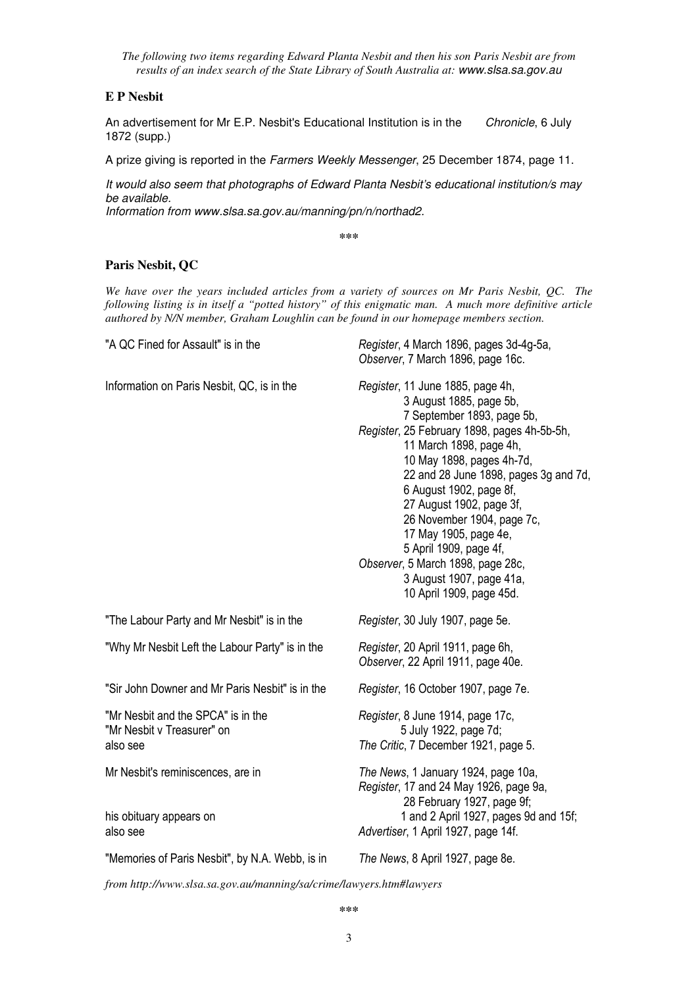*The following two items regarding Edward Planta Nesbit and then his son Paris Nesbit are from results of an index search of the State Library of South Australia at:* www.slsa.sa.gov.au

## **E P Nesbit**

An advertisement for Mr E.P. Nesbit's Educational Institution is in the Chronicle, 6 July 1872 (supp.)

A prize giving is reported in the Farmers Weekly Messenger, 25 December 1874, page 11.

It would also seem that photographs of Edward Planta Nesbit's educational institution/s may be available.

Information from www.slsa.sa.gov.au/manning/pn/n/northad2.

**\*\*\***

## **Paris Nesbit, QC**

*We have over the years included articles from a variety of sources on Mr Paris Nesbit, QC. The following listing is in itself a "potted history" of this enigmatic man. A much more definitive article authored by N/N member, Graham Loughlin can be found in our homepage members section.* 

| "A QC Fined for Assault" is in the                                           | Register, 4 March 1896, pages 3d-4g-5a,<br>Observer, 7 March 1896, page 16c.                                                                                                                                                                                                                                                                                                                                                                                                   |
|------------------------------------------------------------------------------|--------------------------------------------------------------------------------------------------------------------------------------------------------------------------------------------------------------------------------------------------------------------------------------------------------------------------------------------------------------------------------------------------------------------------------------------------------------------------------|
| Information on Paris Nesbit, QC, is in the                                   | Register, 11 June 1885, page 4h,<br>3 August 1885, page 5b,<br>7 September 1893, page 5b,<br>Register, 25 February 1898, pages 4h-5b-5h,<br>11 March 1898, page 4h,<br>10 May 1898, pages 4h-7d,<br>22 and 28 June 1898, pages 3g and 7d,<br>6 August 1902, page 8f,<br>27 August 1902, page 3f,<br>26 November 1904, page 7c,<br>17 May 1905, page 4e,<br>5 April 1909, page 4f,<br>Observer, 5 March 1898, page 28c,<br>3 August 1907, page 41a,<br>10 April 1909, page 45d. |
| "The Labour Party and Mr Nesbit" is in the                                   | Register, 30 July 1907, page 5e.                                                                                                                                                                                                                                                                                                                                                                                                                                               |
| "Why Mr Nesbit Left the Labour Party" is in the                              | Register, 20 April 1911, page 6h,<br>Observer, 22 April 1911, page 40e.                                                                                                                                                                                                                                                                                                                                                                                                        |
|                                                                              |                                                                                                                                                                                                                                                                                                                                                                                                                                                                                |
| "Sir John Downer and Mr Paris Nesbit" is in the                              | Register, 16 October 1907, page 7e.                                                                                                                                                                                                                                                                                                                                                                                                                                            |
| "Mr Nesbit and the SPCA" is in the<br>"Mr Nesbit v Treasurer" on<br>also see | Register, 8 June 1914, page 17c,<br>5 July 1922, page 7d;<br>The Critic, 7 December 1921, page 5.                                                                                                                                                                                                                                                                                                                                                                              |
| Mr Nesbit's reminiscences, are in<br>his obituary appears on<br>also see     | The News, 1 January 1924, page 10a,<br>Register, 17 and 24 May 1926, page 9a,<br>28 February 1927, page 9f;<br>1 and 2 April 1927, pages 9d and 15f;<br>Advertiser, 1 April 1927, page 14f.                                                                                                                                                                                                                                                                                    |

*from http://www.slsa.sa.gov.au/manning/sa/crime/lawyers.htm#lawyers*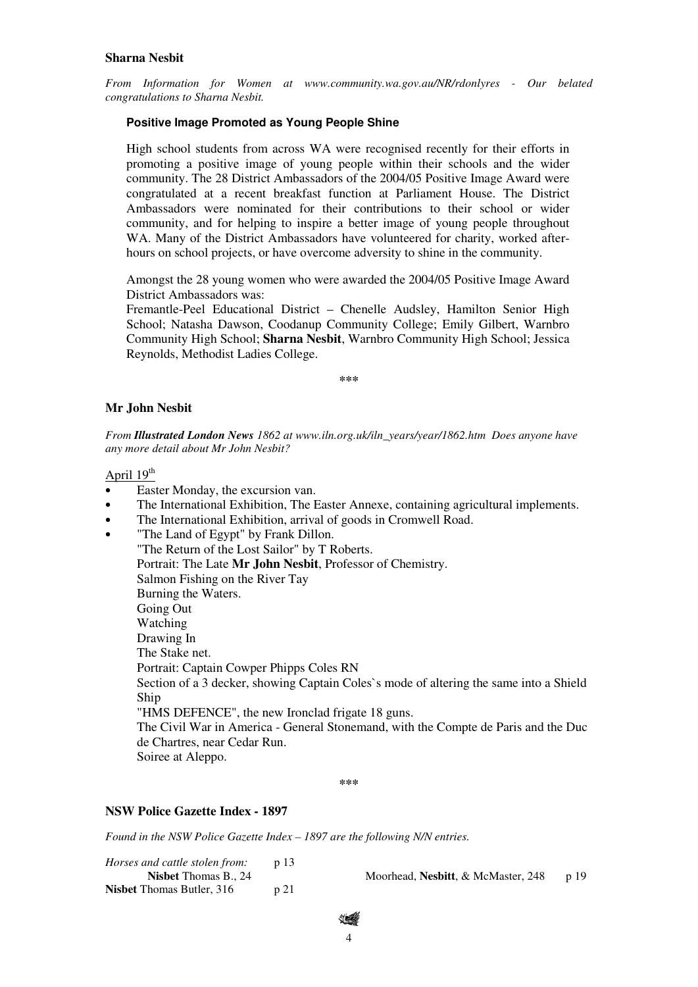### **Sharna Nesbit**

*From Information for Women at www.community.wa.gov.au/NR/rdonlyres - Our belated congratulations to Sharna Nesbit.* 

#### **Positive Image Promoted as Young People Shine**

High school students from across WA were recognised recently for their efforts in promoting a positive image of young people within their schools and the wider community. The 28 District Ambassadors of the 2004/05 Positive Image Award were congratulated at a recent breakfast function at Parliament House. The District Ambassadors were nominated for their contributions to their school or wider community, and for helping to inspire a better image of young people throughout WA. Many of the District Ambassadors have volunteered for charity, worked afterhours on school projects, or have overcome adversity to shine in the community.

Amongst the 28 young women who were awarded the 2004/05 Positive Image Award District Ambassadors was:

Fremantle-Peel Educational District – Chenelle Audsley, Hamilton Senior High School; Natasha Dawson, Coodanup Community College; Emily Gilbert, Warnbro Community High School; **Sharna Nesbit**, Warnbro Community High School; Jessica Reynolds, Methodist Ladies College.

**\*\*\***

#### **Mr John Nesbit**

*From Illustrated London News 1862 at www.iln.org.uk/iln\_years/year/1862.htm Does anyone have any more detail about Mr John Nesbit?* 

April  $19<sup>th</sup>$ 

- Easter Monday, the excursion van.
- The International Exhibition, The Easter Annexe, containing agricultural implements.
- The International Exhibition, arrival of goods in Cromwell Road.
- "The Land of Egypt" by Frank Dillon.

"The Return of the Lost Sailor" by T Roberts. Portrait: The Late **Mr John Nesbit**, Professor of Chemistry. Salmon Fishing on the River Tay Burning the Waters. Going Out Watching Drawing In The Stake net. Portrait: Captain Cowper Phipps Coles RN Section of a 3 decker, showing Captain Coles`s mode of altering the same into a Shield Ship "HMS DEFENCE", the new Ironclad frigate 18 guns. The Civil War in America - General Stonemand, with the Compte de Paris and the Duc de Chartres, near Cedar Run. Soiree at Aleppo.

**\*\*\***

#### **NSW Police Gazette Index - 1897**

*Found in the NSW Police Gazette Index – 1897 are the following N/N entries.* 

| Horses and cattle stolen from:   |     |                                    |       |
|----------------------------------|-----|------------------------------------|-------|
| <b>Nisbet</b> Thomas B., 24      |     | Moorhead, Nesbitt, & McMaster, 248 | p. 19 |
| <b>Nisbet</b> Thomas Butler, 316 | p21 |                                    |       |

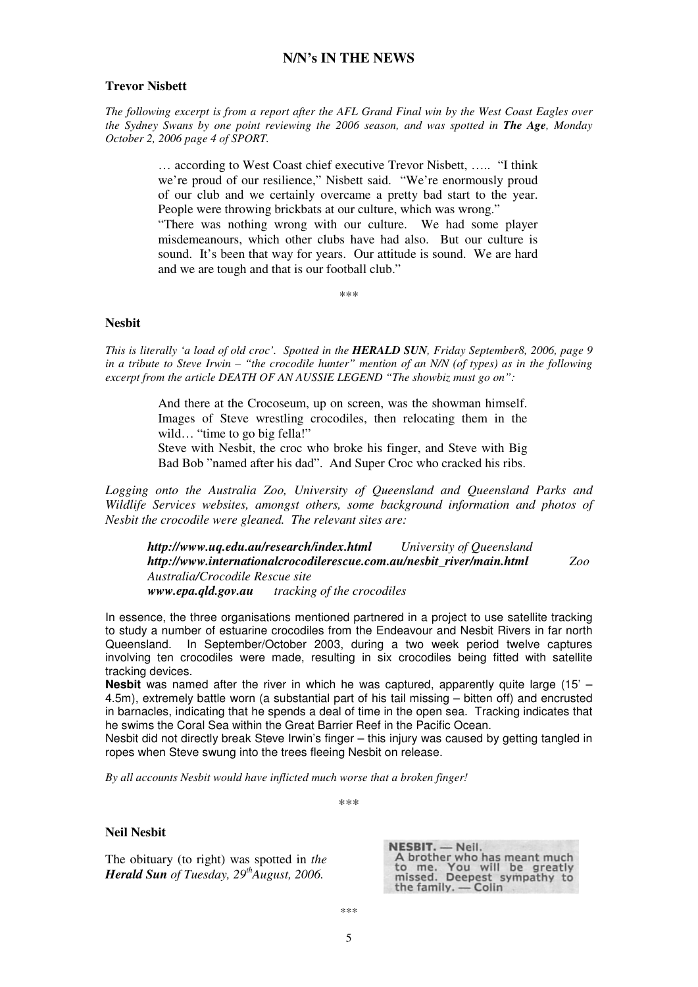## **N/N's IN THE NEWS**

## **Trevor Nisbett**

*The following excerpt is from a report after the AFL Grand Final win by the West Coast Eagles over the Sydney Swans by one point reviewing the 2006 season, and was spotted in The Age, Monday October 2, 2006 page 4 of SPORT.* 

> … according to West Coast chief executive Trevor Nisbett, ….. "I think we're proud of our resilience," Nisbett said. "We're enormously proud of our club and we certainly overcame a pretty bad start to the year. People were throwing brickbats at our culture, which was wrong."

> "There was nothing wrong with our culture. We had some player misdemeanours, which other clubs have had also. But our culture is sound. It's been that way for years. Our attitude is sound. We are hard and we are tough and that is our football club."

> > \*\*\*

### **Nesbit**

*This is literally 'a load of old croc'. Spotted in the HERALD SUN, Friday September8, 2006, page 9 in a tribute to Steve Irwin – "the crocodile hunter" mention of an N/N (of types) as in the following excerpt from the article DEATH OF AN AUSSIE LEGEND "The showbiz must go on":* 

> And there at the Crocoseum, up on screen, was the showman himself. Images of Steve wrestling crocodiles, then relocating them in the wild... "time to go big fella!"

> Steve with Nesbit, the croc who broke his finger, and Steve with Big Bad Bob "named after his dad". And Super Croc who cracked his ribs.

*Logging onto the Australia Zoo, University of Queensland and Queensland Parks and Wildlife Services websites, amongst others, some background information and photos of Nesbit the crocodile were gleaned. The relevant sites are:* 

*http://www.uq.edu.au/research/index.html University of Queensland http://www.internationalcrocodilerescue.com.au/nesbit\_river/main.html Zoo Australia/Crocodile Rescue site www.epa.qld.gov.au tracking of the crocodiles* 

In essence, the three organisations mentioned partnered in a project to use satellite tracking to study a number of estuarine crocodiles from the Endeavour and Nesbit Rivers in far north Queensland. In September/October 2003, during a two week period twelve captures involving ten crocodiles were made, resulting in six crocodiles being fitted with satellite tracking devices.

**Nesbit** was named after the river in which he was captured, apparently quite large (15' – 4.5m), extremely battle worn (a substantial part of his tail missing – bitten off) and encrusted in barnacles, indicating that he spends a deal of time in the open sea. Tracking indicates that he swims the Coral Sea within the Great Barrier Reef in the Pacific Ocean.

Nesbit did not directly break Steve Irwin's finger – this injury was caused by getting tangled in ropes when Steve swung into the trees fleeing Nesbit on release.

*By all accounts Nesbit would have inflicted much worse that a broken finger!* 

\*\*\*

#### **Neil Nesbit**

The obituary (to right) was spotted in *the Herald Sun of Tuesday, 29thAugust, 2006.* 

NESBIT. - Neil. A brother who has meant much<br>to me. You will be greatly<br>missed. Deepest sympathy to the family. - Colin

\*\*\*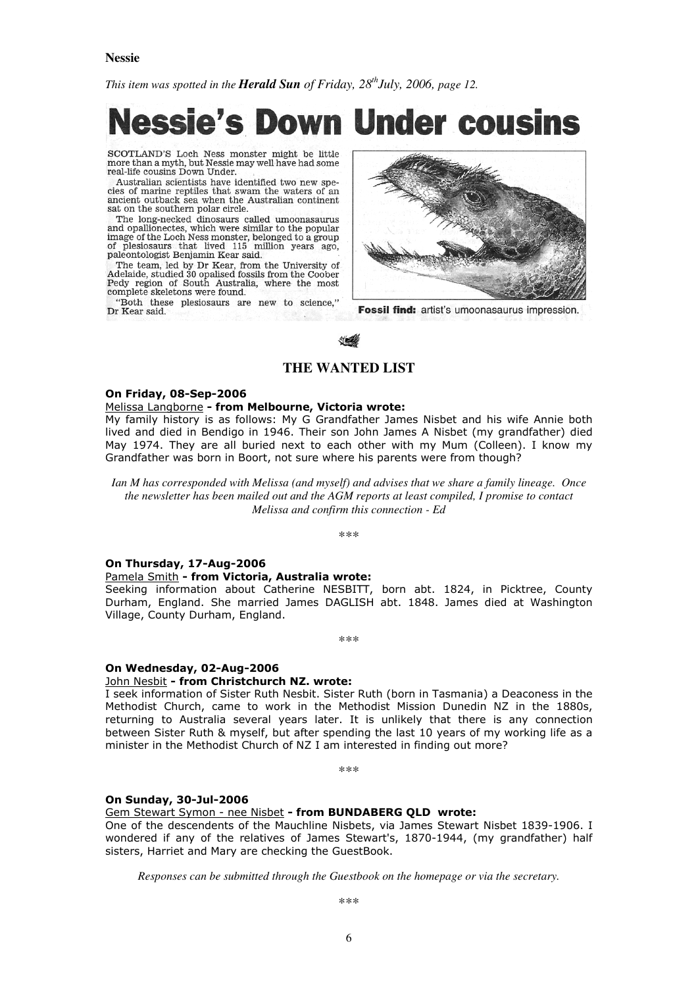#### **Nessie**

*This item was spotted in the Herald Sun of Friday, 28thJuly, 2006, page 12.* 

# **Down Under cousins Nessie's**

SCOTLAND'S Loch Ness monster might be little more than a myth, but Nessie may well have had some<br>real-life cousins Down Under.

Australian scientists have identified two new species of marine reptiles that swam the waters of an ancient outback sea when the Australian continent sat on the southern polar circle.

The long-necked dinosaurs called umoonasaurus and opallionectes, which were similar to the popular image of the Loch Ness monster, belonged to a group of plesiosaurs that lived 115 million years ago, paleontologist Benjamin Kear said.

The team, led by Dr Kear, from the University of Adelaide, studied 30 opalised fossils from the Coober Pedy region of South Australia, where the most complete skeletons were found.

"Both these plesiosaurs are new to science," Dr Kear said.



Fossil find: artist's umoonasaurus impression.

## **THE WANTED LIST**

#### On Friday, 08-Sep-2006

## Melissa Langborne - from Melbourne, Victoria wrote:

My family history is as follows: My G Grandfather James Nisbet and his wife Annie both lived and died in Bendigo in 1946. Their son John James A Nisbet (my grandfather) died May 1974. They are all buried next to each other with my Mum (Colleen). I know my Grandfather was born in Boort, not sure where his parents were from though?

*Ian M has corresponded with Melissa (and myself) and advises that we share a family lineage. Once the newsletter has been mailed out and the AGM reports at least compiled, I promise to contact Melissa and confirm this connection - Ed* 

\*\*\*

#### On Thursday, 17-Aug-2006

#### Pamela Smith - from Victoria, Australia wrote:

Seeking information about Catherine NESBITT, born abt. 1824, in Picktree, County Durham, England. She married James DAGLISH abt. 1848. James died at Washington Village, County Durham, England.

\*\*\*

#### On Wednesday, 02-Aug-2006

#### John Nesbit - from Christchurch NZ. wrote:

I seek information of Sister Ruth Nesbit. Sister Ruth (born in Tasmania) a Deaconess in the Methodist Church, came to work in the Methodist Mission Dunedin NZ in the 1880s, returning to Australia several years later. It is unlikely that there is any connection between Sister Ruth & myself, but after spending the last 10 years of my working life as a minister in the Methodist Church of NZ I am interested in finding out more?

\*\*\*

#### On Sunday, 30-Jul-2006

Gem Stewart Symon - nee Nisbet - from BUNDABERG QLD wrote:

One of the descendents of the Mauchline Nisbets, via James Stewart Nisbet 1839-1906. I wondered if any of the relatives of James Stewart's, 1870-1944, (my grandfather) half sisters, Harriet and Mary are checking the GuestBook.

*Responses can be submitted through the Guestbook on the homepage or via the secretary.*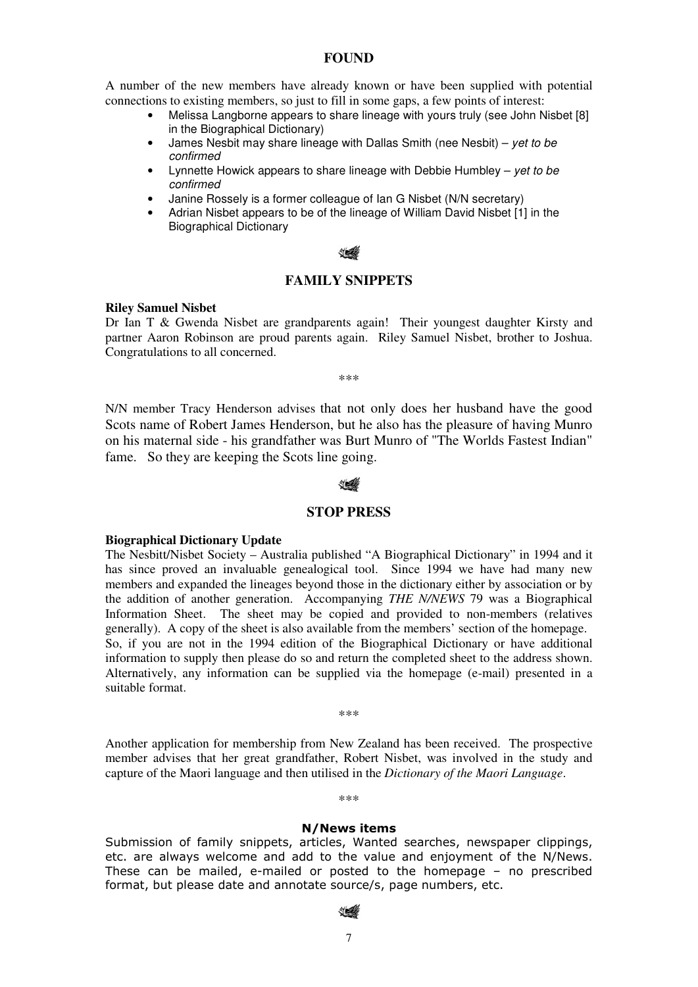## **FOUND**

A number of the new members have already known or have been supplied with potential connections to existing members, so just to fill in some gaps, a few points of interest:

- Melissa Langborne appears to share lineage with yours truly (see John Nisbet [8] in the Biographical Dictionary)
- James Nesbit may share lineage with Dallas Smith (nee Nesbit) yet to be confirmed
- Lynnette Howick appears to share lineage with Debbie Humbley  $-$  yet to be confirmed
- Janine Rossely is a former colleague of Ian G Nisbet (N/N secretary)
- Adrian Nisbet appears to be of the lineage of William David Nisbet [1] in the Biographical Dictionary

## **FAMILY SNIPPETS**

#### **Riley Samuel Nisbet**

Dr Ian T & Gwenda Nisbet are grandparents again! Their youngest daughter Kirsty and partner Aaron Robinson are proud parents again. Riley Samuel Nisbet, brother to Joshua. Congratulations to all concerned.

\*\*\*

N/N member Tracy Henderson advises that not only does her husband have the good Scots name of Robert James Henderson, but he also has the pleasure of having Munro on his maternal side - his grandfather was Burt Munro of "The Worlds Fastest Indian" fame. So they are keeping the Scots line going.

## **STOP PRESS**

#### **Biographical Dictionary Update**

The Nesbitt/Nisbet Society – Australia published "A Biographical Dictionary" in 1994 and it has since proved an invaluable genealogical tool. Since 1994 we have had many new members and expanded the lineages beyond those in the dictionary either by association or by the addition of another generation. Accompanying *THE N/NEWS* 79 was a Biographical Information Sheet. The sheet may be copied and provided to non-members (relatives generally). A copy of the sheet is also available from the members' section of the homepage. So, if you are not in the 1994 edition of the Biographical Dictionary or have additional information to supply then please do so and return the completed sheet to the address shown. Alternatively, any information can be supplied via the homepage (e-mail) presented in a suitable format.

\*\*\*

Another application for membership from New Zealand has been received. The prospective member advises that her great grandfather, Robert Nisbet, was involved in the study and capture of the Maori language and then utilised in the *Dictionary of the Maori Language*.

\*\*\*

### N/News items

Submission of family snippets, articles, Wanted searches, newspaper clippings, etc. are always welcome and add to the value and enjoyment of the N/News. These can be mailed, e-mailed or posted to the homepage – no prescribed format, but please date and annotate source/s, page numbers, etc.

#### ∜